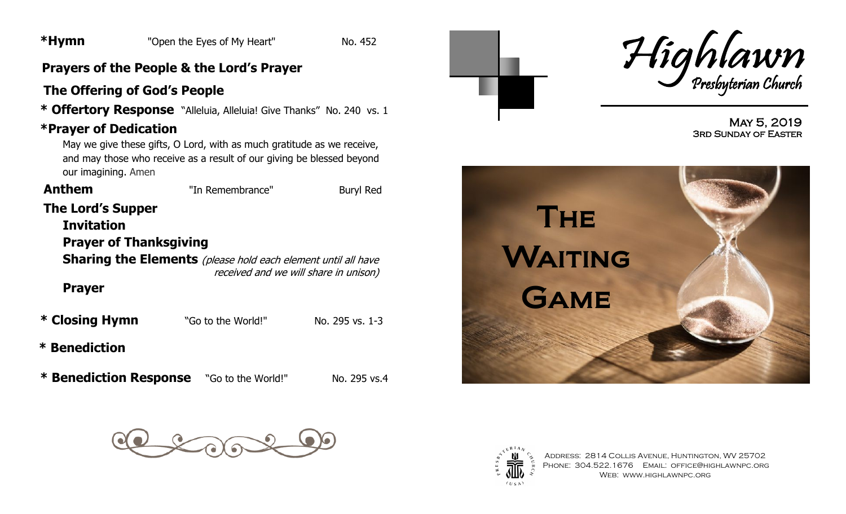## **Prayers of the People & the Lord's Prayer**

# **The Offering of God's People**

 **\* Offertory Response** "Alleluia, Alleluia! Give Thanks" No. 240 vs. 1

# **\*Prayer of Dedication**

May we give these gifts, O Lord, with as much gratitude as we receive, and may those who receive as a result of our giving be blessed beyond our imagining. Amen

| <b>Anthem</b>                                      | "In Remembrance"                                                     | Buryl Red                             |
|----------------------------------------------------|----------------------------------------------------------------------|---------------------------------------|
| <b>The Lord's Supper</b>                           |                                                                      |                                       |
| <b>Invitation</b><br><b>Prayer of Thanksgiving</b> |                                                                      |                                       |
|                                                    | <b>Sharing the Elements</b> (please hold each element until all have | received and we will share in unison) |
| <b>Prayer</b>                                      |                                                                      |                                       |
| * Closing Hymn                                     | "Go to the World!"                                                   | No. 295 vs. 1-3                       |
|                                                    |                                                                      |                                       |

**\* Benediction**

 **\* Benediction Response** "Go to the World!" No. 295 vs.4





May 5, 2019 3rd Sunday of Easter







Address: 2814 Collis Avenue, Huntington, WV 25702 PHONE: 304.522.1676 EMAIL: OFFICE@HIGHLAWNPC.ORG Web: www.highlawnpc.org